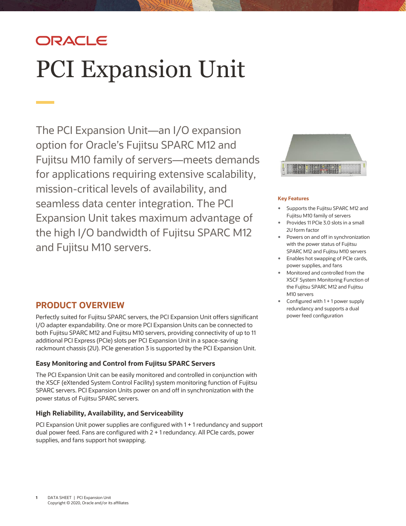# ORACLE PCI Expansion Unit

 option for Oracle's Fujitsu SPARC M12 and mission-critical levels of availability, and the high I/O bandwidth of Fujitsu SPARC M12 and Fujitsu M10 servers. The PCI Expansion Unit—an I/O expansion Fujitsu M10 family of servers—meets demands for applications requiring extensive scalability, seamless data center integration. The PCI Expansion Unit takes maximum advantage of

# **PRODUCT OVERVIEW**

 Perfectly suited for Fujitsu SPARC servers, the PCI Expansion Unit offers significant I/O adapter expandability. One or more PCI Expansion Units can be connected to both Fujitsu SPARC M12 and Fujitsu M10 servers, providing connectivity of up to 11 additional PCI Express (PCIe) slots per PCI Expansion Unit in a space-saving rackmount chassis (2U). PCIe generation 3 is supported by the PCI Expansion Unit.

### **Easy Monitoring and Control from Fujitsu SPARC Servers**

 The PCI Expansion Unit can be easily monitored and controlled in conjunction with the XSCF (eXtended System Control Facility) system monitoring function of Fujitsu SPARC servers. PCI Expansion Units power on and off in synchronization with the power status of Fujitsu SPARC servers.

#### **High Reliability, Availability, and Serviceability**

 PCI Expansion Unit power supplies are configured with 1 + 1 redundancy and support dual power feed. Fans are configured with 2 + 1 redundancy. All PCIe cards, power supplies, and fans support hot swapping.



#### **Key Features**

- Supports the Fujitsu SPARC M12 and Fujitsu M10 family of servers
- Provides 11 PCIe 3.0 slots in a small 2U form factor
- Powers on and off in synchronization with the power status of Fujitsu SPARC M12 and Fujitsu M10 servers
- Enables hot swapping of PCIe cards, power supplies, and fans
- XSCF System Monitoring Function of Monitored and controlled from the the Fujitsu SPARC M12 and Fujitsu M10 servers
- Configured with 1 + 1 power supply redundancy and supports a dual power feed configuration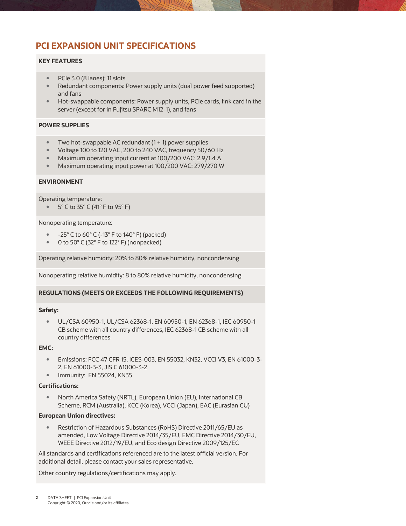# **PCI EXPANSION UNIT SPECIFICATIONS**

#### **KEY FEATURES**

- PCIe 3.0 (8 lanes): 11 slots
- Redundant components: Power supply units (dual power feed supported) and fans
- Hot-swappable components: Power supply units, PCIe cards, link card in the server (except for in Fujitsu SPARC M12-1), and fans

#### **POWER SUPPLIES**

- Two hot-swappable AC redundant (1 + 1) power supplies
- Voltage 100 to 120 VAC, 200 to 240 VAC, frequency 50/60 Hz
- Maximum operating input current at 100/200 VAC: 2.9/1.4 A
- Maximum operating input power at 100/200 VAC: 279/270 W

#### **ENVIRONMENT**

Operating temperature:

5° C to 35° C (41° F to 95° F)

#### Nonoperating temperature:

- $-25^{\circ}$  C to 60 $^{\circ}$  C (-13 $^{\circ}$  F to 140 $^{\circ}$  F) (packed)
- 0 to 50° C (32° F to 122° F) (nonpacked)

Operating relative humidity: 20% to 80% relative humidity, noncondensing

Nonoperating relative humidity: 8 to 80% relative humidity, noncondensing

#### **REGULATIONS (MEETS OR EXCEEDS THE FOLLOWING REQUIREMENTS)**

#### **Safety:**

 UL/CSA 60950-1, UL/CSA 62368-1, EN 60950-1, EN 62368-1, IEC 60950-1 CB scheme with all country differences, IEC 62368-1 CB scheme with all country differences

#### **EMC:**

- Emissions: FCC 47 CFR 15, ICES-003, EN 55032, KN32, VCCI V3, EN 61000-3- 2, EN 61000-3-3, JIS C 61000-3-2
- **Immunity: EN 55024, KN35**

#### **Certifications:**

 North America Safety (NRTL), European Union (EU), International CB Scheme, RCM (Australia), KCC (Korea), VCCI (Japan), EAC (Eurasian CU)

#### **European Union directives:**

 amended, Low Voltage Directive 2014/35/EU, EMC Directive 2014/30/EU, WEEE Directive 2012/19/EU, and Eco design Directive 2009/125/EC Restriction of Hazardous Substances (RoHS) Directive 2011/65/EU as

 All standards and certifications referenced are to the latest official version. For additional detail, please contact your sales representative.

Other country regulations/certifications may apply.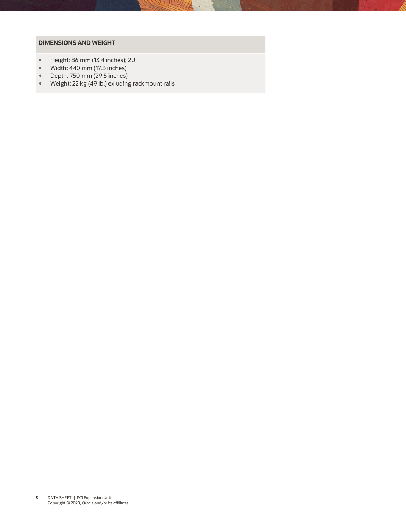#### **DIMENSIONS AND WEIGHT**

- Height: 86 mm (13.4 inches); 2U<br>• Width: 440 mm (17.3 inches)
- Width: 440 mm (17.3 inches)
- Depth: 750 mm (29.5 inches)<br>• Weight: 22 kg (49 lb.) exluding
- Weight: 22 kg (49 lb.) exluding rackmount rails